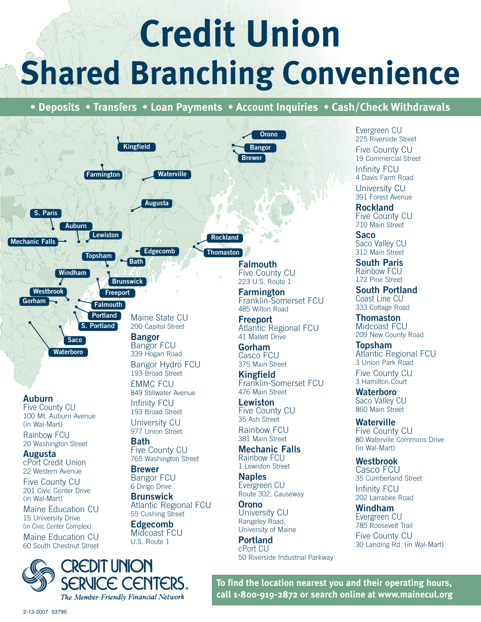## **Credit Union Shared Branching Convenience**

**• Deposits • Transfers • Loan Payments • Account Inquiries • Cash/Check Withdrawals**

**Bangor**

**Orono**

**Brewer**



## **Auburn**

Five County CU 100 Mt. Auburn Avenue (in Wal-Mart)

Rainbow FCU 20 Washington Street

**Augusta** cPort Credit Union 22 Western Avenue

Five County CU 201 Civic Center Drive (in Wal-Mart)

Maine Education CU 15 University Drive (in Civic Center Complex)

Maine Education CU 60 South Chestnut Street



Maine State CU 200 Capitol Street

**Waterville**

Bangor FCU 339 Hogan Road Bangor Hydro FCU

193 Broad Street EMMC FCU 849 Stillwater Avenue

Infinity FCU 193 Broad Street

University CU 977 Union Street

**Bath** Five County CU 765 Washington Street

**Brewer** Bangor FCU 6 Dirigo Drive

**Brunswick** Atlantic Regional FCU 55 Cushing Street

**Edgecomb** Midcoast FCU U.S. Route 1

**Thomaston Rockland**

**Falmouth** Five County CU 223 U.S. Route 1

**Farmington** Franklin-Somerset FCU 485 Wilton Road

**Freeport** Atlantic Regional FCU 41 Mallett Drive

**Gorham** Casco FCU 375 Main Street

**Kingfield** Franklin-Somerset FCU 476 Main Street

**Lewiston** Five County CU 35 Ash Street Rainhow FCU

381 Main Street **Mechanic Falls** Rainbow FCU

1 Lewiston Street **Naples** Evergreen CU Route 302, Causeway

**Orono** University CU Rangeley Road,

University of Maine **Portland** cPort CU 50 Riverside Industrial Parkway

Evergreen CU 225 Riverside Street Five County CU 19 Commercial Street Infinity FCU 4 Davis Farm Road University CU 391 Forest Avenue

**Rockland** Five County CU 710 Main Street

**Saco** Saco Valley CU 312 Main Street **South Paris**

Rainbow FCU 172 Pine Street

**South Portland** Coast Line CU 333 Cottage Road

**Thomaston** Midcoast FCU 209 New County Road

**Topsham** Atlantic Regional FCU 3 Union Park Road Five County CU

3 Hamilton Court

**Waterboro** Saco Valley CU 860 Main Street

**Waterville** Five County CU 80 Waterville Commons Drive (in Wal-Mart)

**Westbrook** Casco FCU 35 Cumberland Street

Infinity FCU 202 Larrabee Road

**Windham** Evergreen CU 785 Roosevelt Trail Five County CU 30 Landing Rd. (in Wal-Mart)

**To find the location nearest you and their operating hours, call 1-800-919-2872 or search online at www.mainecul.org**